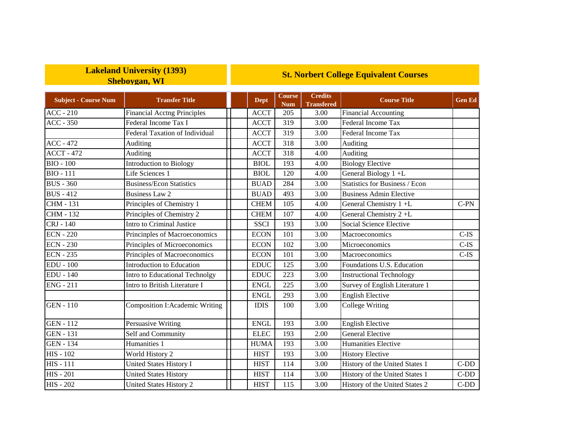## **Lakeland University (1393) Sheboygan, WI**

## **St. Norbert College Equivalent Courses**

| <b>Subject - Course Num</b> | <b>Transfer Title</b>                 | <b>Dept</b>  | <b>Course</b><br><b>Num</b> | <b>Credits</b><br><b>Transfered</b> | <b>Course Title</b>                   | <b>Gen Ed</b> |
|-----------------------------|---------------------------------------|--------------|-----------------------------|-------------------------------------|---------------------------------------|---------------|
| $ACC - 210$                 | <b>Financial Acctng Principles</b>    | <b>ACCT</b>  | 205                         | 3.00                                | <b>Financial Accounting</b>           |               |
| $ACC - 350$                 | Federal Income Tax I                  | <b>ACCT</b>  | 319                         | 3.00                                | Federal Income Tax                    |               |
|                             | <b>Federal Taxation of Individual</b> | <b>ACCT</b>  | 319                         | 3.00                                | Federal Income Tax                    |               |
| $ACC - 472$                 | Auditing                              | <b>ACCT</b>  | 318                         | 3.00                                | Auditing                              |               |
| $\overline{ACCT - 472}$     | <b>Auditing</b>                       | <b>ACCT</b>  | 318                         | 4.00                                | Auditing                              |               |
| <b>BIO - 100</b>            | <b>Introduction to Biology</b>        | <b>BIOL</b>  | 193                         | 4.00                                | <b>Biology Elective</b>               |               |
| <b>BIO - 111</b>            | Life Sciences 1                       | <b>BIOL</b>  | 120                         | 4.00                                | General Biology 1+L                   |               |
| <b>BUS - 360</b>            | <b>Business/Econ Statistics</b>       | <b>BUAD</b>  | 284                         | 3.00                                | <b>Statistics for Business / Econ</b> |               |
| <b>BUS</b> - 412            | <b>Business Law 2</b>                 | <b>BUAD</b>  | 493                         | 3.00                                | <b>Business Admin Elective</b>        |               |
| <b>CHM - 131</b>            | Principles of Chemistry 1             | <b>CHEM</b>  | 105                         | 4.00                                | General Chemistry 1 +L                | $C-PN$        |
| <b>CHM - 132</b>            | Principles of Chemistry 2             | <b>CHEM</b>  | 107                         | 4.00                                | General Chemistry 2+L                 |               |
| CRJ - 140                   | Intro to Criminal Justice             | <b>SSCI</b>  | 193                         | 3.00                                | Social Science Elective               |               |
| $ECN - 220$                 | Princinples of Macroeconomics         | <b>ECON</b>  | 101                         | 3.00                                | Macroeconomics                        | $C-IS$        |
| <b>ECN</b> - 230            | Principles of Microeconomics          | <b>ECON</b>  | 102                         | 3.00                                | Microeconomics                        | $C-IS$        |
| <b>ECN - 235</b>            | Principles of Macroeconomics          | <b>ECON</b>  | 101                         | 3.00                                | Macroeconomics                        | $C-IS$        |
| $EDU - 100$                 | <b>Introduction to Education</b>      | <b>EDUC</b>  | 125                         | 3.00                                | Foundations U.S. Education            |               |
| <b>EDU - 140</b>            | Intro to Educational Technolgy        | <b>EDUC</b>  | 223                         | 3.00                                | <b>Instructional Technology</b>       |               |
| <b>ENG - 211</b>            | Intro to British Literature I         | <b>ENGL</b>  | 225                         | 3.00                                | Survey of English Literature 1        |               |
|                             |                                       | <b>ENGL</b>  | 293                         | 3.00                                | <b>English Elective</b>               |               |
| <b>GEN - 110</b>            | <b>Composition I:Academic Writing</b> | <b>IDIS</b>  | 100                         | 3.00                                | College Writing                       |               |
| <b>GEN</b> - 112            | Persuasive Writing                    | <b>ENGL</b>  | 193                         | 3.00                                | <b>English Elective</b>               |               |
| <b>GEN - 131</b>            | Self and Community                    | ${\rm ELLC}$ | 193                         | 2.00                                | <b>General Elective</b>               |               |
| <b>GEN - 134</b>            | Humanities 1                          | <b>HUMA</b>  | 193                         | 3.00                                | Humanities Elective                   |               |
| <b>HIS - 102</b>            | World History 2                       | <b>HIST</b>  | 193                         | 3.00                                | <b>History Elective</b>               |               |
| <b>HIS - 111</b>            | <b>United States History I</b>        | <b>HIST</b>  | 114                         | 3.00                                | History of the United States 1        | $C-DD$        |
| <b>HIS - 201</b>            | <b>United States History</b>          | <b>HIST</b>  | 114                         | 3.00                                | History of the United States 1        | $C-DD$        |
| <b>HIS - 202</b>            | United States History 2               | <b>HIST</b>  | 115                         | 3.00                                | History of the United States 2        | $C-DD$        |